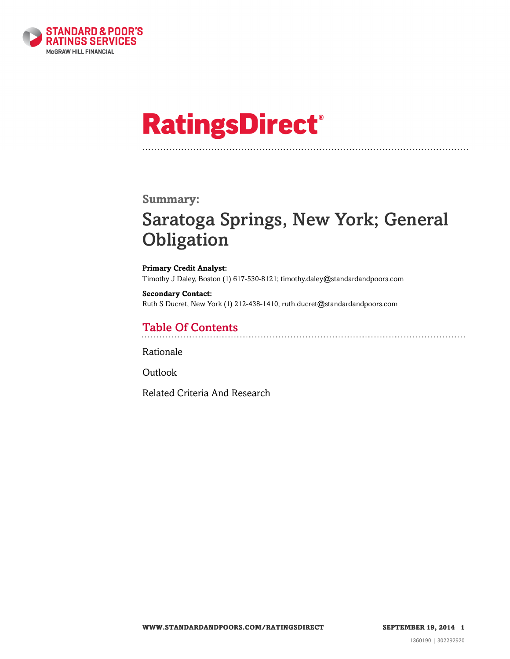

# **RatingsDirect®**

### **Summary:**

## Saratoga Springs, New York; General **Obligation**

**Primary Credit Analyst:** Timothy J Daley, Boston (1) 617-530-8121; timothy.daley@standardandpoors.com

**Secondary Contact:** Ruth S Ducret, New York (1) 212-438-1410; ruth.ducret@standardandpoors.com

## Table Of Contents

[Rationale](#page-1-0)

[Outlook](#page-3-0)

[Related Criteria And Research](#page-4-0)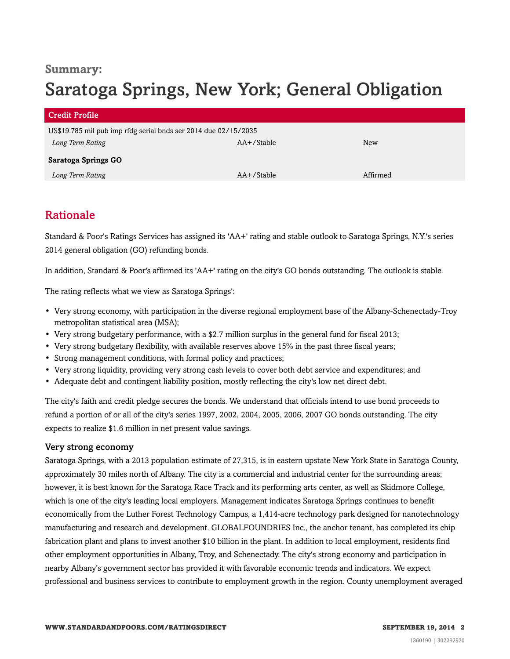### **Summary:**

## Saratoga Springs, New York; General Obligation

| <b>Credit Profile</b>                                           |            |            |
|-----------------------------------------------------------------|------------|------------|
| US\$19.785 mil pub imp rfdg serial bnds ser 2014 due 02/15/2035 |            |            |
| Long Term Rating                                                | AA+/Stable | <b>New</b> |
| <b>Saratoga Springs GO</b>                                      |            |            |
| Long Term Rating                                                | AA+/Stable | Affirmed   |

## <span id="page-1-0"></span>Rationale

Standard & Poor's Ratings Services has assigned its 'AA+' rating and stable outlook to Saratoga Springs, N.Y.'s series 2014 general obligation (GO) refunding bonds.

In addition, Standard & Poor's affirmed its 'AA+' rating on the city's GO bonds outstanding. The outlook is stable.

The rating reflects what we view as Saratoga Springs':

- Very strong economy, with participation in the diverse regional employment base of the Albany-Schenectady-Troy metropolitan statistical area (MSA);
- Very strong budgetary performance, with a \$2.7 million surplus in the general fund for fiscal 2013;
- Very strong budgetary flexibility, with available reserves above 15% in the past three fiscal years;
- Strong management conditions, with formal policy and practices;
- Very strong liquidity, providing very strong cash levels to cover both debt service and expenditures; and
- Adequate debt and contingent liability position, mostly reflecting the city's low net direct debt.

The city's faith and credit pledge secures the bonds. We understand that officials intend to use bond proceeds to refund a portion of or all of the city's series 1997, 2002, 2004, 2005, 2006, 2007 GO bonds outstanding. The city expects to realize \$1.6 million in net present value savings.

#### Very strong economy

Saratoga Springs, with a 2013 population estimate of 27,315, is in eastern upstate New York State in Saratoga County, approximately 30 miles north of Albany. The city is a commercial and industrial center for the surrounding areas; however, it is best known for the Saratoga Race Track and its performing arts center, as well as Skidmore College, which is one of the city's leading local employers. Management indicates Saratoga Springs continues to benefit economically from the Luther Forest Technology Campus, a 1,414-acre technology park designed for nanotechnology manufacturing and research and development. GLOBALFOUNDRIES Inc., the anchor tenant, has completed its chip fabrication plant and plans to invest another \$10 billion in the plant. In addition to local employment, residents find other employment opportunities in Albany, Troy, and Schenectady. The city's strong economy and participation in nearby Albany's government sector has provided it with favorable economic trends and indicators. We expect professional and business services to contribute to employment growth in the region. County unemployment averaged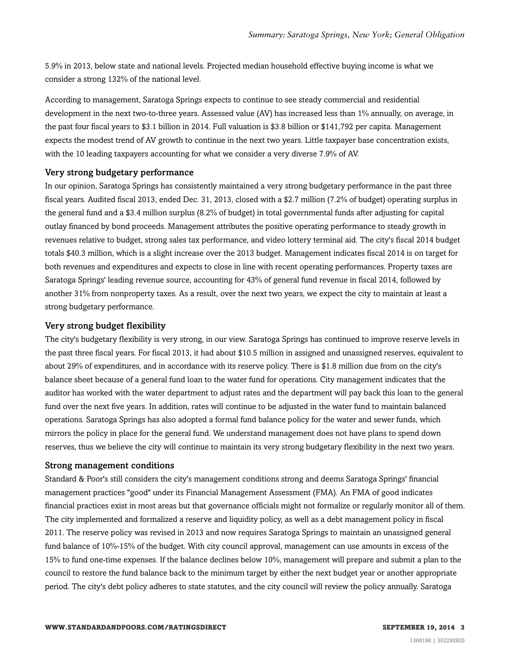5.9% in 2013, below state and national levels. Projected median household effective buying income is what we consider a strong 132% of the national level.

According to management, Saratoga Springs expects to continue to see steady commercial and residential development in the next two-to-three years. Assessed value (AV) has increased less than 1% annually, on average, in the past four fiscal years to \$3.1 billion in 2014. Full valuation is \$3.8 billion or \$141,792 per capita. Management expects the modest trend of AV growth to continue in the next two years. Little taxpayer base concentration exists, with the 10 leading taxpayers accounting for what we consider a very diverse 7.9% of AV.

#### Very strong budgetary performance

In our opinion, Saratoga Springs has consistently maintained a very strong budgetary performance in the past three fiscal years. Audited fiscal 2013, ended Dec. 31, 2013, closed with a \$2.7 million (7.2% of budget) operating surplus in the general fund and a \$3.4 million surplus (8.2% of budget) in total governmental funds after adjusting for capital outlay financed by bond proceeds. Management attributes the positive operating performance to steady growth in revenues relative to budget, strong sales tax performance, and video lottery terminal aid. The city's fiscal 2014 budget totals \$40.3 million, which is a slight increase over the 2013 budget. Management indicates fiscal 2014 is on target for both revenues and expenditures and expects to close in line with recent operating performances. Property taxes are Saratoga Springs' leading revenue source, accounting for 43% of general fund revenue in fiscal 2014, followed by another 31% from nonproperty taxes. As a result, over the next two years, we expect the city to maintain at least a strong budgetary performance.

#### Very strong budget flexibility

The city's budgetary flexibility is very strong, in our view. Saratoga Springs has continued to improve reserve levels in the past three fiscal years. For fiscal 2013, it had about \$10.5 million in assigned and unassigned reserves, equivalent to about 29% of expenditures, and in accordance with its reserve policy. There is \$1.8 million due from on the city's balance sheet because of a general fund loan to the water fund for operations. City management indicates that the auditor has worked with the water department to adjust rates and the department will pay back this loan to the general fund over the next five years. In addition, rates will continue to be adjusted in the water fund to maintain balanced operations. Saratoga Springs has also adopted a formal fund balance policy for the water and sewer funds, which mirrors the policy in place for the general fund. We understand management does not have plans to spend down reserves, thus we believe the city will continue to maintain its very strong budgetary flexibility in the next two years.

#### Strong management conditions

Standard & Poor's still considers the city's management conditions strong and deems Saratoga Springs' financial management practices "good" under its Financial Management Assessment (FMA). An FMA of good indicates financial practices exist in most areas but that governance officials might not formalize or regularly monitor all of them. The city implemented and formalized a reserve and liquidity policy, as well as a debt management policy in fiscal 2011. The reserve policy was revised in 2013 and now requires Saratoga Springs to maintain an unassigned general fund balance of 10%-15% of the budget. With city council approval, management can use amounts in excess of the 15% to fund one-time expenses. If the balance declines below 10%, management will prepare and submit a plan to the council to restore the fund balance back to the minimum target by either the next budget year or another appropriate period. The city's debt policy adheres to state statutes, and the city council will review the policy annually. Saratoga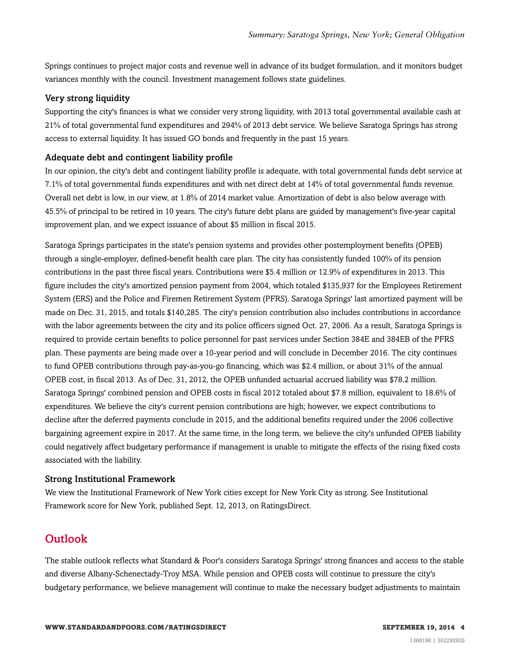Springs continues to project major costs and revenue well in advance of its budget formulation, and it monitors budget variances monthly with the council. Investment management follows state guidelines.

#### Very strong liquidity

Supporting the city's finances is what we consider very strong liquidity, with 2013 total governmental available cash at 21% of total governmental fund expenditures and 294% of 2013 debt service. We believe Saratoga Springs has strong access to external liquidity. It has issued GO bonds and frequently in the past 15 years.

#### Adequate debt and contingent liability profile

In our opinion, the city's debt and contingent liability profile is adequate, with total governmental funds debt service at 7.1% of total governmental funds expenditures and with net direct debt at 14% of total governmental funds revenue. Overall net debt is low, in our view, at 1.8% of 2014 market value. Amortization of debt is also below average with 45.5% of principal to be retired in 10 years. The city's future debt plans are guided by management's five-year capital improvement plan, and we expect issuance of about \$5 million in fiscal 2015.

Saratoga Springs participates in the state's pension systems and provides other postemployment benefits (OPEB) through a single-employer, defined-benefit health care plan. The city has consistently funded 100% of its pension contributions in the past three fiscal years. Contributions were \$5.4 million or 12.9% of expenditures in 2013. This figure includes the city's amortized pension payment from 2004, which totaled \$135,937 for the Employees Retirement System (ERS) and the Police and Firemen Retirement System (PFRS). Saratoga Springs' last amortized payment will be made on Dec. 31, 2015, and totals \$140,285. The city's pension contribution also includes contributions in accordance with the labor agreements between the city and its police officers signed Oct. 27, 2006. As a result, Saratoga Springs is required to provide certain benefits to police personnel for past services under Section 384E and 384EB of the PFRS plan. These payments are being made over a 10-year period and will conclude in December 2016. The city continues to fund OPEB contributions through pay-as-you-go financing, which was \$2.4 million, or about 31% of the annual OPEB cost, in fiscal 2013. As of Dec. 31, 2012, the OPEB unfunded actuarial accrued liability was \$78.2 million. Saratoga Springs' combined pension and OPEB costs in fiscal 2012 totaled about \$7.8 million, equivalent to 18.6% of expenditures. We believe the city's current pension contributions are high; however, we expect contributions to decline after the deferred payments conclude in 2015, and the additional benefits required under the 2006 collective bargaining agreement expire in 2017. At the same time, in the long term, we believe the city's unfunded OPEB liability could negatively affect budgetary performance if management is unable to mitigate the effects of the rising fixed costs associated with the liability.

#### Strong Institutional Framework

We view the Institutional Framework of New York cities except for New York City as strong. See Institutional Framework score for New York, published Sept. 12, 2013, on RatingsDirect.

## <span id="page-3-0"></span>**Outlook**

The stable outlook reflects what Standard & Poor's considers Saratoga Springs' strong finances and access to the stable and diverse Albany-Schenectady-Troy MSA. While pension and OPEB costs will continue to pressure the city's budgetary performance, we believe management will continue to make the necessary budget adjustments to maintain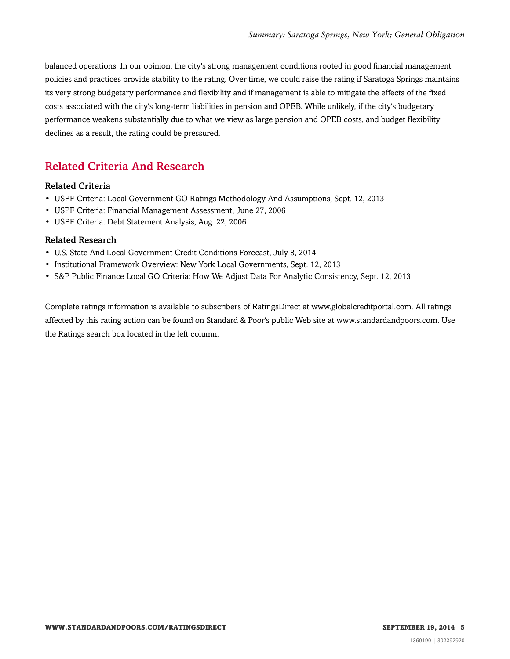balanced operations. In our opinion, the city's strong management conditions rooted in good financial management policies and practices provide stability to the rating. Over time, we could raise the rating if Saratoga Springs maintains its very strong budgetary performance and flexibility and if management is able to mitigate the effects of the fixed costs associated with the city's long-term liabilities in pension and OPEB. While unlikely, if the city's budgetary performance weakens substantially due to what we view as large pension and OPEB costs, and budget flexibility declines as a result, the rating could be pressured.

## <span id="page-4-0"></span>Related Criteria And Research

#### Related Criteria

- USPF Criteria: Local Government GO Ratings Methodology And Assumptions, Sept. 12, 2013
- USPF Criteria: Financial Management Assessment, June 27, 2006
- USPF Criteria: Debt Statement Analysis, Aug. 22, 2006

#### Related Research

- U.S. State And Local Government Credit Conditions Forecast, July 8, 2014
- Institutional Framework Overview: New York Local Governments, Sept. 12, 2013
- S&P Public Finance Local GO Criteria: How We Adjust Data For Analytic Consistency, Sept. 12, 2013

Complete ratings information is available to subscribers of RatingsDirect at www.globalcreditportal.com. All ratings affected by this rating action can be found on Standard & Poor's public Web site at www.standardandpoors.com. Use the Ratings search box located in the left column.